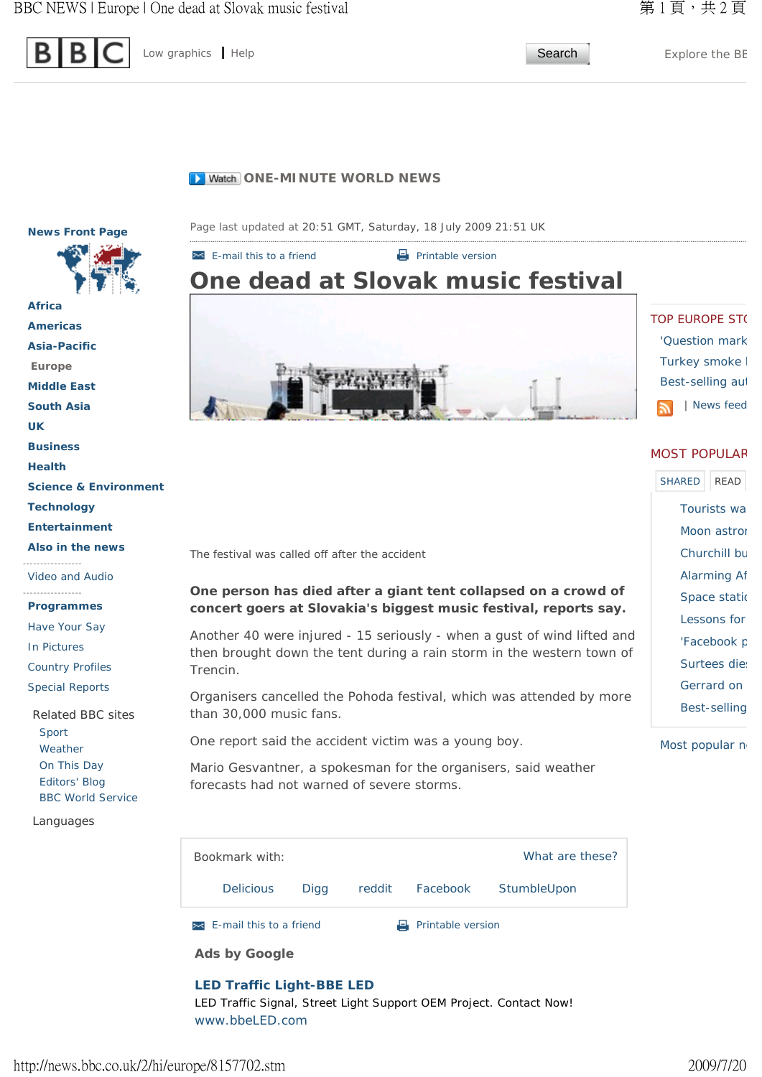

Low graphics | Help **Search** Explore the BE

# **D** Watch ONE-MINUTE WORLD NEWS

**News Front Page** 



Country Profiles

Special Reports

Related BBC sites Sport Weather On This Day Editors' Blog BBC World Service

Languages



# $\blacksquare$  E-mail this to a friend  $\blacksquare$  Printable version **One dead at Slovak music festival**



The festival was called off after the accident

# **One person has died after a giant tent collapsed on a crowd of concert goers at Slovakia's biggest music festival, reports say.**

Another 40 were injured - 15 seriously - when a gust of wind lifted and then brought down the tent during a rain storm in the western town of Trencin.

Organisers cancelled the Pohoda festival, which was attended by more than 30,000 music fans.

One report said the accident victim was a young boy.

Mario Gesvantner, a spokesman for the organisers, said weather forecasts had not warned of severe storms.

**E-mail this to a friend** Printable version Bookmark with: Delicious Digg reddit Facebook StumbleUpon What are these?

**Ads by Google** 

# **LED Traffic Light-BBE LED** LED Traffic Signal, Street Light Support OEM Project. Contact Now!

www.bbeLED.com

**TOP EUROPE ST(** 'Question mark

> Turkey smoke I Best-selling aut | News feed

#### MOST POPULAR

Tourists wa Moon astron Churchill bu Alarming Af Space statio Lessons for 'Facebook p Surtees dies Gerrard on Best-selling SHARED READ

Most popular n